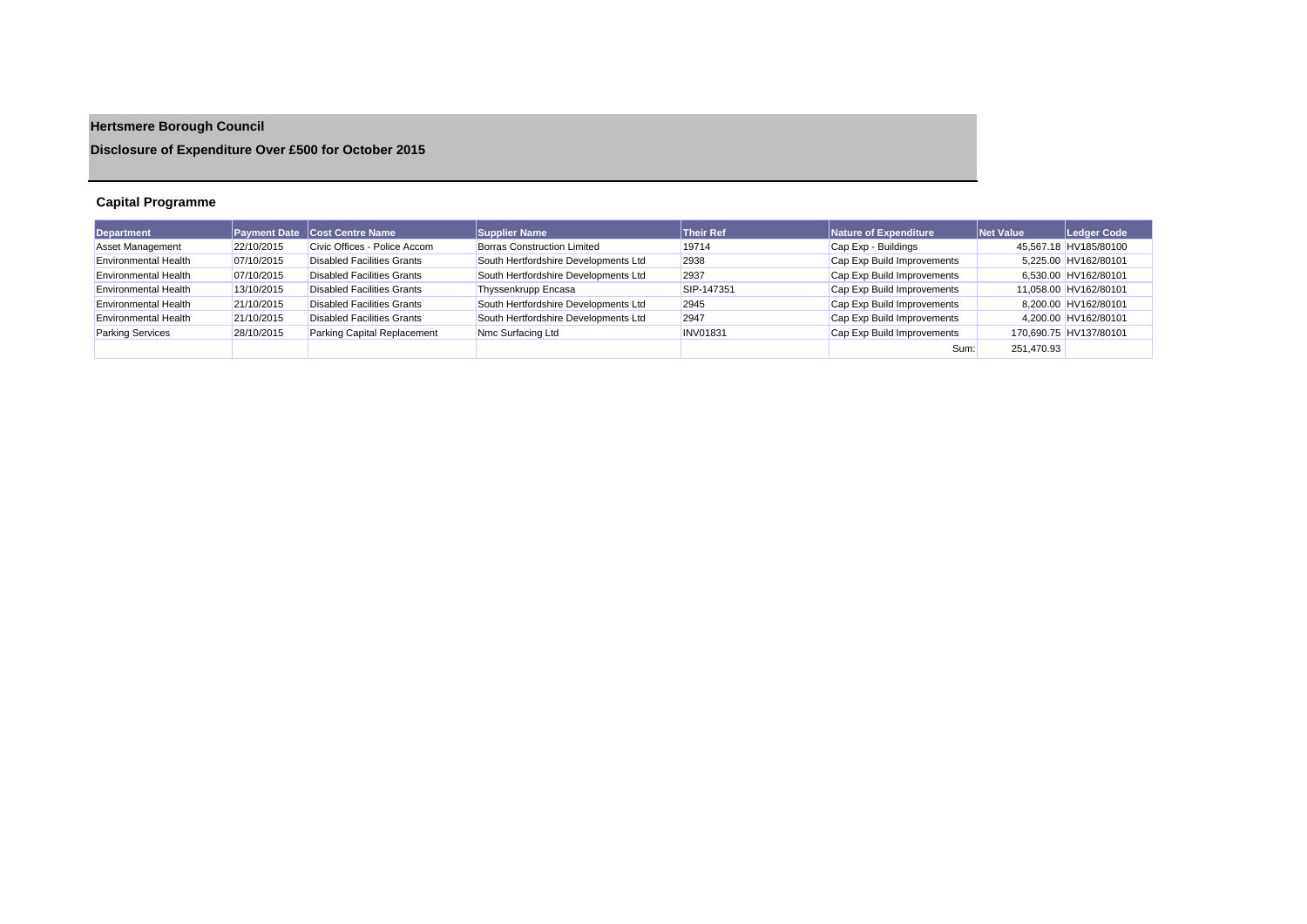# **Hertsmere Borough Council**

**Disclosure of Expenditure Over £500 for October 2015**

## **Capital Programme**

| <b>Department</b>           |            | Payment Date Cost Centre Name     | <b>Supplier Name</b>                 | <b>Their Ref</b> | Nature of Expenditure      | Net Value  | Ledger Code            |
|-----------------------------|------------|-----------------------------------|--------------------------------------|------------------|----------------------------|------------|------------------------|
| Asset Management            | 22/10/2015 | Civic Offices - Police Accom      | <b>Borras Construction Limited</b>   | 19714            | Cap Exp - Buildings        |            | 45,567.18 HV185/80100  |
| <b>Environmental Health</b> | 07/10/2015 | <b>Disabled Facilities Grants</b> | South Hertfordshire Developments Ltd | 2938             | Cap Exp Build Improvements |            | 5.225.00 HV162/80101   |
| <b>Environmental Health</b> | 07/10/2015 | <b>Disabled Facilities Grants</b> | South Hertfordshire Developments Ltd | 2937             | Cap Exp Build Improvements |            | 6.530.00 HV162/80101   |
| <b>Environmental Health</b> | 13/10/2015 | <b>Disabled Facilities Grants</b> | Thyssenkrupp Encasa                  | SIP-147351       | Cap Exp Build Improvements |            | 11,058.00 HV162/80101  |
| <b>Environmental Health</b> | 21/10/2015 | <b>Disabled Facilities Grants</b> | South Hertfordshire Developments Ltd | 2945             | Cap Exp Build Improvements |            | 8.200.00 HV162/80101   |
| <b>Environmental Health</b> | 21/10/2015 | Disabled Facilities Grants        | South Hertfordshire Developments Ltd | 2947             | Cap Exp Build Improvements |            | 4.200.00 HV162/80101   |
| <b>Parking Services</b>     | 28/10/2015 | Parking Capital Replacement       | Nmc Surfacing Ltd                    | <b>INV01831</b>  | Cap Exp Build Improvements |            | 170,690.75 HV137/80101 |
|                             |            |                                   |                                      |                  | Sum:                       | 251.470.93 |                        |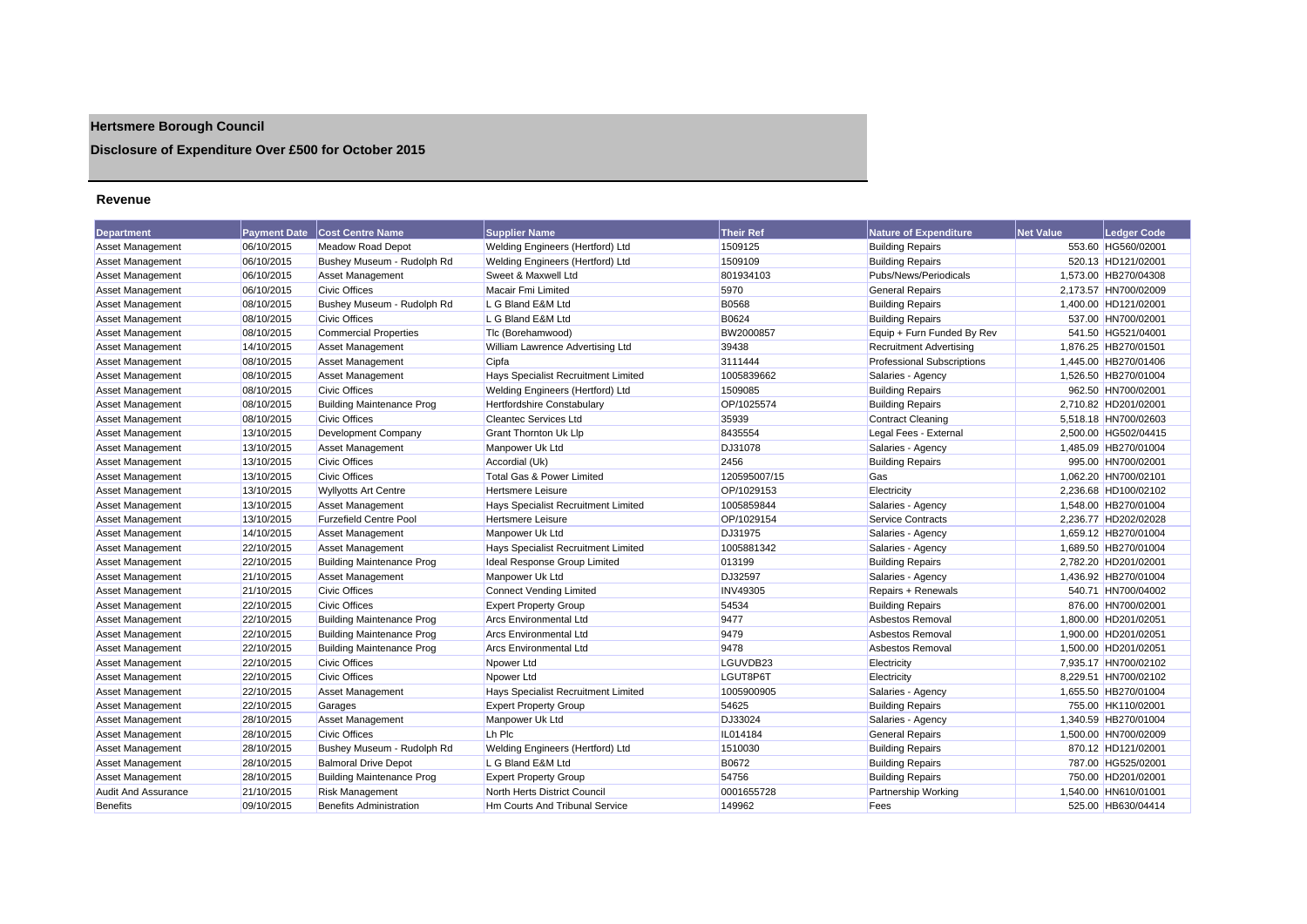## **Hertsmere Borough Council**

## **Disclosure of Expenditure Over £500 for October 2015**

#### **Revenue**

| <b>Department</b>          | <b>Payment Date</b> | <b>Cost Centre Name</b>          | <b>Supplier Name</b>                       | <b>Their Ref</b> | <b>Nature of Expenditure</b>      | <b>Net Value</b> | <b>Ledger Code</b>   |
|----------------------------|---------------------|----------------------------------|--------------------------------------------|------------------|-----------------------------------|------------------|----------------------|
| Asset Management           | 06/10/2015          | <b>Meadow Road Depot</b>         | Welding Engineers (Hertford) Ltd           | 1509125          | <b>Building Repairs</b>           |                  | 553.60 HG560/02001   |
| <b>Asset Management</b>    | 06/10/2015          | Bushey Museum - Rudolph Rd       | Welding Engineers (Hertford) Ltd           | 1509109          | <b>Building Repairs</b>           |                  | 520.13 HD121/02001   |
| Asset Management           | 06/10/2015          | Asset Management                 | Sweet & Maxwell Ltd                        | 801934103        | Pubs/News/Periodicals             |                  | 1,573.00 HB270/04308 |
| <b>Asset Management</b>    | 06/10/2015          | <b>Civic Offices</b>             | Macair Fmi Limited                         | 5970             | <b>General Repairs</b>            |                  | 2,173.57 HN700/02009 |
| <b>Asset Management</b>    | 08/10/2015          | Bushey Museum - Rudolph Rd       | L G Bland E&M Ltd                          | B0568            | <b>Building Repairs</b>           |                  | 1,400.00 HD121/02001 |
| <b>Asset Management</b>    | 08/10/2015          | <b>Civic Offices</b>             | L G Bland E&M Ltd                          | B0624            | <b>Building Repairs</b>           |                  | 537.00 HN700/02001   |
| <b>Asset Management</b>    | 08/10/2015          | <b>Commercial Properties</b>     | Tlc (Borehamwood)                          | BW2000857        | Equip + Furn Funded By Rev        |                  | 541.50 HG521/04001   |
| Asset Management           | 14/10/2015          | <b>Asset Management</b>          | William Lawrence Advertising Ltd           | 39438            | <b>Recruitment Advertising</b>    |                  | 1,876.25 HB270/01501 |
| <b>Asset Management</b>    | 08/10/2015          | <b>Asset Management</b>          | Cipfa                                      | 3111444          | <b>Professional Subscriptions</b> |                  | 1,445.00 HB270/01406 |
| <b>Asset Management</b>    | 08/10/2015          | <b>Asset Management</b>          | <b>Hays Specialist Recruitment Limited</b> | 1005839662       | Salaries - Agency                 |                  | 1,526.50 HB270/01004 |
| <b>Asset Management</b>    | 08/10/2015          | <b>Civic Offices</b>             | Welding Engineers (Hertford) Ltd           | 1509085          | <b>Building Repairs</b>           |                  | 962.50 HN700/02001   |
| <b>Asset Management</b>    | 08/10/2015          | <b>Building Maintenance Prog</b> | <b>Hertfordshire Constabulary</b>          | OP/1025574       | <b>Building Repairs</b>           |                  | 2,710.82 HD201/02001 |
| <b>Asset Management</b>    | 08/10/2015          | <b>Civic Offices</b>             | <b>Cleantec Services Ltd</b>               | 35939            | <b>Contract Cleaning</b>          |                  | 5,518.18 HN700/02603 |
| <b>Asset Management</b>    | 13/10/2015          | Development Company              | Grant Thornton Uk Llp                      | 8435554          | Legal Fees - External             |                  | 2,500.00 HG502/04415 |
| <b>Asset Management</b>    | 13/10/2015          | <b>Asset Management</b>          | Manpower Uk Ltd                            | DJ31078          | Salaries - Agency                 |                  | 1,485.09 HB270/01004 |
| Asset Management           | 13/10/2015          | <b>Civic Offices</b>             | Accordial (Uk)                             | 2456             | <b>Building Repairs</b>           |                  | 995.00 HN700/02001   |
| <b>Asset Management</b>    | 13/10/2015          | <b>Civic Offices</b>             | Total Gas & Power Limited                  | 120595007/15     | Gas                               |                  | 1.062.20 HN700/02101 |
| <b>Asset Management</b>    | 13/10/2015          | <b>Wyllyotts Art Centre</b>      | <b>Hertsmere Leisure</b>                   | OP/1029153       | Electricity                       |                  | 2,236.68 HD100/02102 |
| Asset Management           | 13/10/2015          | <b>Asset Management</b>          | Hays Specialist Recruitment Limited        | 1005859844       | Salaries - Agency                 |                  | 1,548.00 HB270/01004 |
| Asset Management           | 13/10/2015          | <b>Furzefield Centre Pool</b>    | <b>Hertsmere Leisure</b>                   | OP/1029154       | <b>Service Contracts</b>          |                  | 2.236.77 HD202/02028 |
| <b>Asset Management</b>    | 14/10/2015          | Asset Management                 | Manpower Uk Ltd                            | DJ31975          | Salaries - Agency                 |                  | 1,659.12 HB270/01004 |
| <b>Asset Management</b>    | 22/10/2015          | <b>Asset Management</b>          | <b>Hays Specialist Recruitment Limited</b> | 1005881342       | Salaries - Agency                 |                  | 1,689.50 HB270/01004 |
| <b>Asset Management</b>    | 22/10/2015          | <b>Building Maintenance Prog</b> | Ideal Response Group Limited               | 013199           | <b>Building Repairs</b>           |                  | 2,782.20 HD201/02001 |
| <b>Asset Management</b>    | 21/10/2015          | <b>Asset Management</b>          | Manpower Uk Ltd                            | DJ32597          | Salaries - Agency                 |                  | 1,436.92 HB270/01004 |
| Asset Management           | 21/10/2015          | <b>Civic Offices</b>             | <b>Connect Vending Limited</b>             | <b>INV49305</b>  | Repairs + Renewals                |                  | 540.71 HN700/04002   |
| <b>Asset Management</b>    | 22/10/2015          | <b>Civic Offices</b>             | <b>Expert Property Group</b>               | 54534            | <b>Building Repairs</b>           |                  | 876.00 HN700/02001   |
| <b>Asset Management</b>    | 22/10/2015          | <b>Building Maintenance Prog</b> | <b>Arcs Environmental Ltd</b>              | 9477             | Asbestos Removal                  |                  | 1,800.00 HD201/02051 |
| <b>Asset Management</b>    | 22/10/2015          | <b>Building Maintenance Prog</b> | <b>Arcs Environmental Ltd</b>              | 9479             | Asbestos Removal                  |                  | 1,900.00 HD201/02051 |
| <b>Asset Management</b>    | 22/10/2015          | <b>Building Maintenance Prog</b> | <b>Arcs Environmental Ltd</b>              | 9478             | Asbestos Removal                  |                  | 1,500.00 HD201/02051 |
| <b>Asset Management</b>    | 22/10/2015          | <b>Civic Offices</b>             | Npower Ltd                                 | LGUVDB23         | Electricity                       |                  | 7,935.17 HN700/02102 |
| Asset Management           | 22/10/2015          | <b>Civic Offices</b>             | Npower Ltd                                 | LGUT8P6T         | Electricity                       |                  | 8,229.51 HN700/02102 |
| <b>Asset Management</b>    | 22/10/2015          | <b>Asset Management</b>          | <b>Hays Specialist Recruitment Limited</b> | 1005900905       | Salaries - Agency                 |                  | 1,655.50 HB270/01004 |
| Asset Management           | 22/10/2015          | Garages                          | <b>Expert Property Group</b>               | 54625            | <b>Building Repairs</b>           |                  | 755.00 HK110/02001   |
| <b>Asset Management</b>    | 28/10/2015          | <b>Asset Management</b>          | Manpower Uk Ltd                            | DJ33024          | Salaries - Agency                 |                  | 1,340.59 HB270/01004 |
| <b>Asset Management</b>    | 28/10/2015          | <b>Civic Offices</b>             | Lh Plc                                     | IL014184         | <b>General Repairs</b>            |                  | 1,500.00 HN700/02009 |
| <b>Asset Management</b>    | 28/10/2015          | Bushey Museum - Rudolph Rd       | Welding Engineers (Hertford) Ltd           | 1510030          | <b>Building Repairs</b>           |                  | 870.12 HD121/02001   |
| <b>Asset Management</b>    | 28/10/2015          | <b>Balmoral Drive Depot</b>      | L G Bland E&M Ltd                          | B0672            | <b>Building Repairs</b>           |                  | 787.00 HG525/02001   |
| <b>Asset Management</b>    | 28/10/2015          | <b>Building Maintenance Prog</b> | <b>Expert Property Group</b>               | 54756            | <b>Building Repairs</b>           |                  | 750.00 HD201/02001   |
| <b>Audit And Assurance</b> | 21/10/2015          | <b>Risk Management</b>           | North Herts District Council               | 0001655728       | <b>Partnership Working</b>        |                  | 1.540.00 HN610/01001 |
| <b>Benefits</b>            | 09/10/2015          | <b>Benefits Administration</b>   | Hm Courts And Tribunal Service             | 149962           | Fees                              |                  | 525.00 HB630/04414   |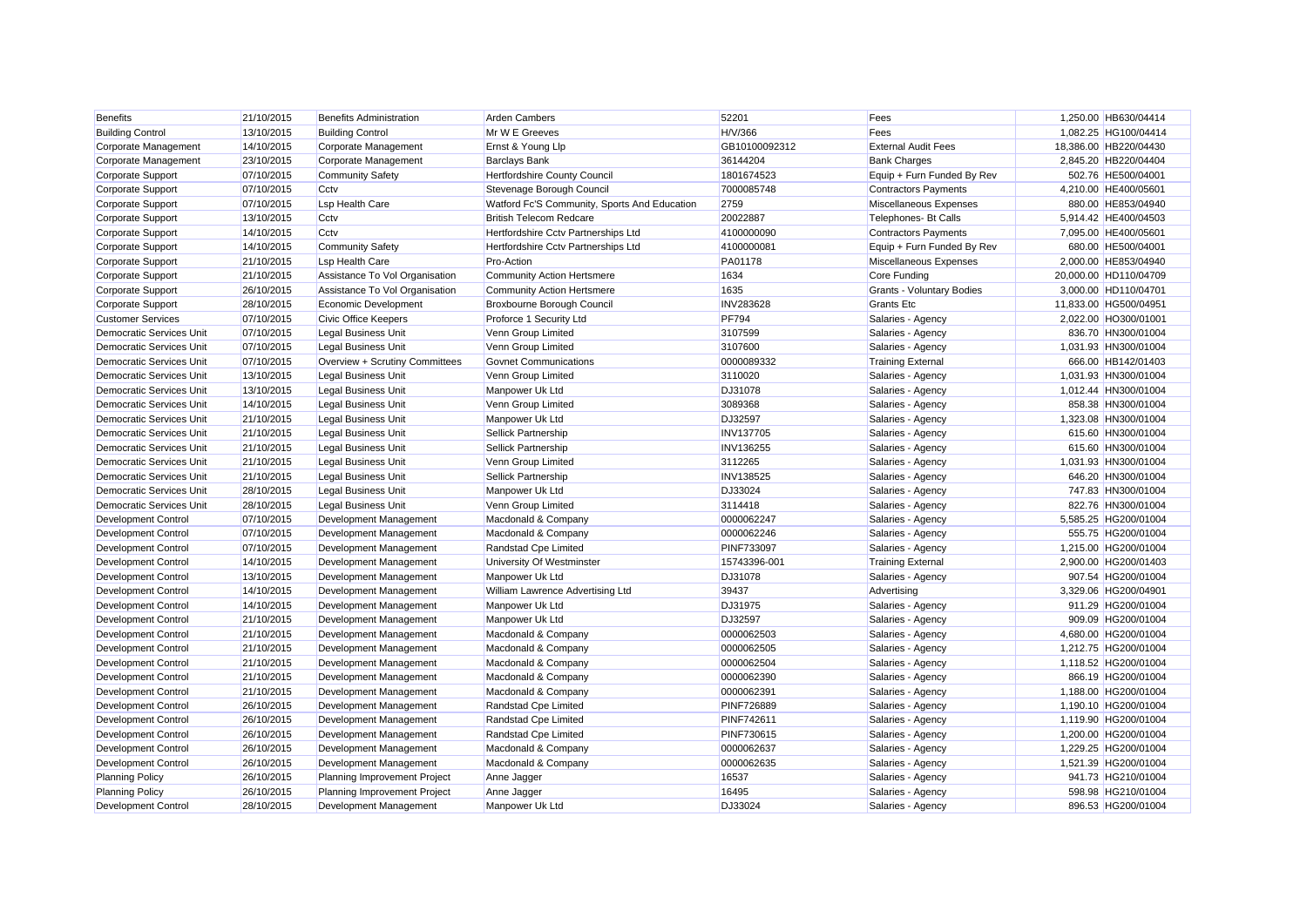| <b>Benefits</b>                 | 21/10/2015 | <b>Benefits Administration</b> | <b>Arden Cambers</b>                         | 52201             | Fees                             | 1,250.00 HB630/04414  |
|---------------------------------|------------|--------------------------------|----------------------------------------------|-------------------|----------------------------------|-----------------------|
| <b>Building Control</b>         | 13/10/2015 | <b>Building Control</b>        | Mr W E Greeves                               | H/V/366           | Fees                             | 1,082.25 HG100/04414  |
| Corporate Management            | 14/10/2015 | Corporate Management           | Ernst & Young Llp                            | GB10100092312     | <b>External Audit Fees</b>       | 18,386.00 HB220/04430 |
| Corporate Management            | 23/10/2015 | Corporate Management           | <b>Barclays Bank</b>                         | 36144204          | <b>Bank Charges</b>              | 2,845.20 HB220/04404  |
| Corporate Support               | 07/10/2015 | <b>Community Safety</b>        | Hertfordshire County Council                 | 1801674523        | Equip + Furn Funded By Rev       | 502.76 HE500/04001    |
| Corporate Support               | 07/10/2015 | Cctv                           | Stevenage Borough Council                    | 7000085748        | <b>Contractors Payments</b>      | 4,210.00 HE400/05601  |
| Corporate Support               | 07/10/2015 | Lsp Health Care                | Watford Fc'S Community, Sports And Education | 2759              | Miscellaneous Expenses           | 880.00 HE853/04940    |
| Corporate Support               | 13/10/2015 | Cctv                           | <b>British Telecom Redcare</b>               | 20022887          | Telephones- Bt Calls             | 5,914.42 HE400/04503  |
| Corporate Support               | 14/10/2015 | Cctv                           | Hertfordshire Cctv Partnerships Ltd          | 4100000090        | <b>Contractors Payments</b>      | 7,095.00 HE400/05601  |
| Corporate Support               | 14/10/2015 | <b>Community Safety</b>        | Hertfordshire Cctv Partnerships Ltd          | 4100000081        | Equip + Furn Funded By Rev       | 680.00 HE500/04001    |
| Corporate Support               | 21/10/2015 | <b>Lsp Health Care</b>         | Pro-Action                                   | PA01178           | Miscellaneous Expenses           | 2,000.00 HE853/04940  |
| Corporate Support               | 21/10/2015 | Assistance To Vol Organisation | <b>Community Action Hertsmere</b>            | 1634              | Core Funding                     | 20,000.00 HD110/04709 |
| Corporate Support               | 26/10/2015 | Assistance To Vol Organisation | <b>Community Action Hertsmere</b>            | 1635              | <b>Grants - Voluntary Bodies</b> | 3,000.00 HD110/04701  |
| Corporate Support               | 28/10/2015 | Economic Development           | Broxbourne Borough Council                   | <b>INV283628</b>  | <b>Grants Etc</b>                | 11.833.00 HG500/04951 |
| <b>Customer Services</b>        | 07/10/2015 | <b>Civic Office Keepers</b>    | Proforce 1 Security Ltd                      | <b>PF794</b>      | Salaries - Agency                | 2,022.00 HO300/01001  |
| <b>Democratic Services Unit</b> | 07/10/2015 | <b>Legal Business Unit</b>     | Venn Group Limited                           | 3107599           | Salaries - Agency                | 836.70 HN300/01004    |
| <b>Democratic Services Unit</b> | 07/10/2015 | <b>Legal Business Unit</b>     | Venn Group Limited                           | 3107600           | Salaries - Agency                | 1,031.93 HN300/01004  |
| Democratic Services Unit        | 07/10/2015 | Overview + Scrutiny Committees | <b>Govnet Communications</b>                 | 0000089332        | <b>Training External</b>         | 666.00 HB142/01403    |
| <b>Democratic Services Unit</b> | 13/10/2015 | <b>Legal Business Unit</b>     | Venn Group Limited                           | 3110020           | Salaries - Agency                | 1,031.93 HN300/01004  |
| Democratic Services Unit        | 13/10/2015 | <b>Legal Business Unit</b>     | Manpower Uk Ltd                              | DJ31078           | Salaries - Agency                | 1,012.44 HN300/01004  |
| <b>Democratic Services Unit</b> | 14/10/2015 | <b>Legal Business Unit</b>     | Venn Group Limited                           | 3089368           | Salaries - Agency                | 858.38 HN300/01004    |
| <b>Democratic Services Unit</b> | 21/10/2015 | <b>Legal Business Unit</b>     | Manpower Uk Ltd                              | DJ32597           | Salaries - Agency                | 1,323.08 HN300/01004  |
| Democratic Services Unit        | 21/10/2015 | <b>Legal Business Unit</b>     | Sellick Partnership                          | <b>INV137705</b>  | Salaries - Agency                | 615.60 HN300/01004    |
| <b>Democratic Services Unit</b> | 21/10/2015 | <b>Legal Business Unit</b>     | Sellick Partnership                          | <b>INV136255</b>  | Salaries - Agency                | 615.60 HN300/01004    |
| Democratic Services Unit        | 21/10/2015 | <b>Legal Business Unit</b>     | Venn Group Limited                           | 3112265           | Salaries - Agency                | 1,031.93 HN300/01004  |
| <b>Democratic Services Unit</b> | 21/10/2015 | <b>Legal Business Unit</b>     | <b>Sellick Partnership</b>                   | <b>INV138525</b>  | Salaries - Agency                | 646.20 HN300/01004    |
| <b>Democratic Services Unit</b> | 28/10/2015 | <b>Legal Business Unit</b>     | Manpower Uk Ltd                              | DJ33024           | Salaries - Agency                | 747.83 HN300/01004    |
| <b>Democratic Services Unit</b> | 28/10/2015 | <b>Legal Business Unit</b>     | Venn Group Limited                           | 3114418           | Salaries - Agency                | 822.76 HN300/01004    |
| <b>Development Control</b>      | 07/10/2015 | Development Management         | Macdonald & Company                          | 0000062247        | Salaries - Agency                | 5,585.25 HG200/01004  |
| <b>Development Control</b>      | 07/10/2015 | Development Management         | Macdonald & Company                          | 0000062246        | Salaries - Agency                | 555.75 HG200/01004    |
| <b>Development Control</b>      | 07/10/2015 | Development Management         | <b>Randstad Cpe Limited</b>                  | <b>PINF733097</b> | Salaries - Agency                | 1,215.00 HG200/01004  |
| Development Control             | 14/10/2015 | Development Management         | University Of Westminster                    | 15743396-001      | <b>Training External</b>         | 2,900.00 HG200/01403  |
| <b>Development Control</b>      | 13/10/2015 | Development Management         | Manpower Uk Ltd                              | DJ31078           | Salaries - Agency                | 907.54 HG200/01004    |
| <b>Development Control</b>      | 14/10/2015 | Development Management         | William Lawrence Advertising Ltd             | 39437             | Advertising                      | 3,329.06 HG200/04901  |
| <b>Development Control</b>      | 14/10/2015 | Development Management         | Manpower Uk Ltd                              | DJ31975           | Salaries - Agency                | 911.29 HG200/01004    |
| <b>Development Control</b>      | 21/10/2015 | Development Management         | Manpower Uk Ltd                              | DJ32597           | Salaries - Agency                | 909.09 HG200/01004    |
| <b>Development Control</b>      | 21/10/2015 | Development Management         | Macdonald & Company                          | 0000062503        | Salaries - Agency                | 4,680.00 HG200/01004  |
| <b>Development Control</b>      | 21/10/2015 | Development Management         | Macdonald & Company                          | 0000062505        | Salaries - Agency                | 1,212.75 HG200/01004  |
| Development Control             | 21/10/2015 | Development Management         | Macdonald & Company                          | 0000062504        | Salaries - Agency                | 1,118.52 HG200/01004  |
| <b>Development Control</b>      | 21/10/2015 | Development Management         | Macdonald & Company                          | 0000062390        | Salaries - Agency                | 866.19 HG200/01004    |
| <b>Development Control</b>      | 21/10/2015 | Development Management         | Macdonald & Company                          | 0000062391        | Salaries - Agency                | 1,188.00 HG200/01004  |
| <b>Development Control</b>      | 26/10/2015 | Development Management         | Randstad Cpe Limited                         | <b>PINF726889</b> | Salaries - Agency                | 1,190.10 HG200/01004  |
| <b>Development Control</b>      | 26/10/2015 | Development Management         | Randstad Cpe Limited                         | <b>PINF742611</b> | Salaries - Agency                | 1,119.90 HG200/01004  |
| <b>Development Control</b>      | 26/10/2015 | Development Management         | Randstad Cpe Limited                         | <b>PINF730615</b> | Salaries - Agency                | 1,200.00 HG200/01004  |
| <b>Development Control</b>      | 26/10/2015 | Development Management         | Macdonald & Company                          | 0000062637        | Salaries - Agency                | 1,229.25 HG200/01004  |
| Development Control             | 26/10/2015 | Development Management         | Macdonald & Company                          | 0000062635        | Salaries - Agency                | 1,521.39 HG200/01004  |
| <b>Planning Policy</b>          | 26/10/2015 | Planning Improvement Project   | Anne Jagger                                  | 16537             | Salaries - Agency                | 941.73 HG210/01004    |
| <b>Planning Policy</b>          | 26/10/2015 | Planning Improvement Project   | Anne Jagger                                  | 16495             | Salaries - Agency                | 598.98 HG210/01004    |
| <b>Development Control</b>      | 28/10/2015 | Development Management         | Manpower Uk Ltd                              | DJ33024           | Salaries - Agency                | 896.53 HG200/01004    |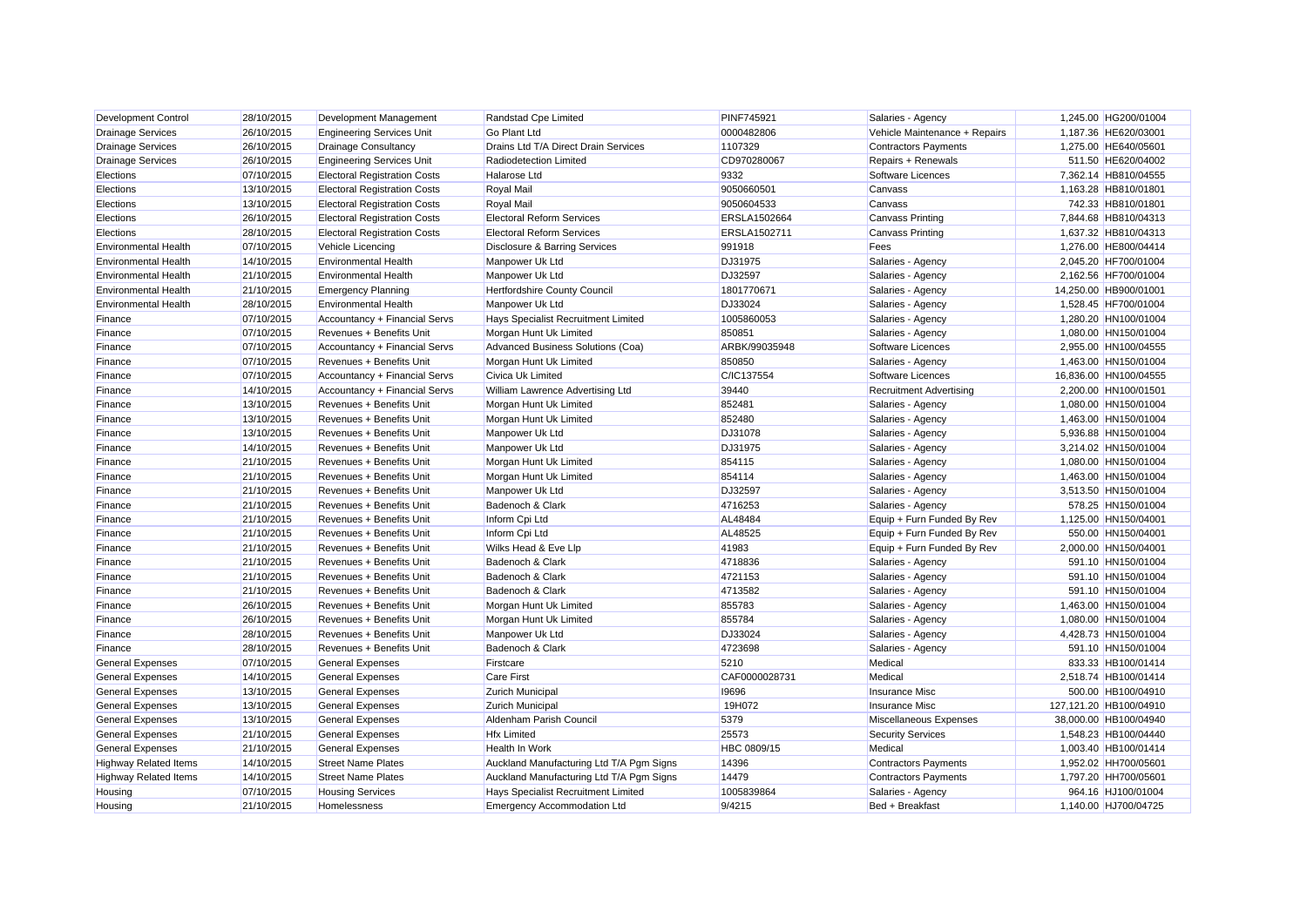| Development Control          | 28/10/2015 | Development Management              | Randstad Cpe Limited                     | <b>PINF745921</b> | Salaries - Agency              | 1,245.00 HG200/01004   |
|------------------------------|------------|-------------------------------------|------------------------------------------|-------------------|--------------------------------|------------------------|
| <b>Drainage Services</b>     | 26/10/2015 | <b>Engineering Services Unit</b>    | <b>Go Plant Ltd</b>                      | 0000482806        | Vehicle Maintenance + Repairs  | 1,187.36 HE620/03001   |
| <b>Drainage Services</b>     | 26/10/2015 | <b>Drainage Consultancy</b>         | Drains Ltd T/A Direct Drain Services     | 1107329           | <b>Contractors Payments</b>    | 1,275.00 HE640/05601   |
| <b>Drainage Services</b>     | 26/10/2015 | <b>Engineering Services Unit</b>    | Radiodetection Limited                   | CD970280067       | Repairs + Renewals             | 511.50 HE620/04002     |
| Elections                    | 07/10/2015 | <b>Electoral Registration Costs</b> | <b>Halarose Ltd</b>                      | 9332              | Software Licences              | 7,362.14 HB810/04555   |
| Elections                    | 13/10/2015 | <b>Electoral Registration Costs</b> | <b>Royal Mail</b>                        | 9050660501        | Canvass                        | 1,163.28 HB810/01801   |
| Elections                    | 13/10/2015 | <b>Electoral Registration Costs</b> | <b>Royal Mail</b>                        | 9050604533        | Canvass                        | 742.33 HB810/01801     |
| Elections                    | 26/10/2015 | <b>Electoral Registration Costs</b> | <b>Electoral Reform Services</b>         | ERSLA1502664      | <b>Canvass Printing</b>        | 7,844.68 HB810/04313   |
| Elections                    | 28/10/2015 | <b>Electoral Registration Costs</b> | <b>Electoral Reform Services</b>         | ERSLA1502711      | <b>Canvass Printing</b>        | 1,637.32 HB810/04313   |
| <b>Environmental Health</b>  | 07/10/2015 | Vehicle Licencing                   | Disclosure & Barring Services            | 991918            | Fees                           | 1,276.00 HE800/04414   |
| <b>Environmental Health</b>  | 14/10/2015 | <b>Environmental Health</b>         | Manpower Uk Ltd                          | DJ31975           | Salaries - Agency              | 2,045.20 HF700/01004   |
| <b>Environmental Health</b>  | 21/10/2015 | <b>Environmental Health</b>         | Manpower Uk Ltd                          | DJ32597           | Salaries - Agency              | 2,162.56 HF700/01004   |
| <b>Environmental Health</b>  | 21/10/2015 | <b>Emergency Planning</b>           | Hertfordshire County Council             | 1801770671        | Salaries - Agency              | 14,250.00 HB900/01001  |
| <b>Environmental Health</b>  | 28/10/2015 | <b>Environmental Health</b>         | Manpower Uk Ltd                          | DJ33024           | Salaries - Agency              | 1,528.45 HF700/01004   |
| Finance                      | 07/10/2015 | Accountancy + Financial Servs       | Hays Specialist Recruitment Limited      | 1005860053        | Salaries - Agency              | 1,280.20 HN100/01004   |
| Finance                      | 07/10/2015 | Revenues + Benefits Unit            | Morgan Hunt Uk Limited                   | 850851            | Salaries - Agency              | 1,080.00 HN150/01004   |
| Finance                      | 07/10/2015 | Accountancy + Financial Servs       | Advanced Business Solutions (Coa)        | ARBK/99035948     | Software Licences              | 2,955.00 HN100/04555   |
| Finance                      | 07/10/2015 | Revenues + Benefits Unit            | Morgan Hunt Uk Limited                   | 850850            | Salaries - Agency              | 1,463.00 HN150/01004   |
| Finance                      | 07/10/2015 | Accountancy + Financial Servs       | Civica Uk Limited                        | C/IC137554        | Software Licences              | 16,836.00 HN100/04555  |
| Finance                      | 14/10/2015 | Accountancy + Financial Servs       | William Lawrence Advertising Ltd         | 39440             | <b>Recruitment Advertising</b> | 2,200.00 HN100/01501   |
| Finance                      | 13/10/2015 | Revenues + Benefits Unit            | Morgan Hunt Uk Limited                   | 852481            | Salaries - Agency              | 1,080.00 HN150/01004   |
| Finance                      | 13/10/2015 | Revenues + Benefits Unit            | Morgan Hunt Uk Limited                   | 852480            | Salaries - Agency              | 1,463.00 HN150/01004   |
| Finance                      | 13/10/2015 | Revenues + Benefits Unit            | Manpower Uk Ltd                          | DJ31078           | Salaries - Agency              | 5,936.88 HN150/01004   |
| Finance                      | 14/10/2015 | Revenues + Benefits Unit            | Manpower Uk Ltd                          | DJ31975           | Salaries - Agency              | 3,214.02 HN150/01004   |
| Finance                      | 21/10/2015 | Revenues + Benefits Unit            | Morgan Hunt Uk Limited                   | 854115            | Salaries - Agency              | 1,080.00 HN150/01004   |
| Finance                      | 21/10/2015 | Revenues + Benefits Unit            | Morgan Hunt Uk Limited                   | 854114            | Salaries - Agency              | 1,463.00 HN150/01004   |
| Finance                      | 21/10/2015 | Revenues + Benefits Unit            | Manpower Uk Ltd                          | DJ32597           | Salaries - Agency              | 3,513.50 HN150/01004   |
| Finance                      | 21/10/2015 | Revenues + Benefits Unit            | Badenoch & Clark                         | 4716253           | Salaries - Agency              | 578.25 HN150/01004     |
| Finance                      | 21/10/2015 | Revenues + Benefits Unit            | Inform Cpi Ltd                           | AL48484           | Equip + Furn Funded By Rev     | 1,125.00 HN150/04001   |
| Finance                      | 21/10/2015 | Revenues + Benefits Unit            | Inform Cpi Ltd                           | AL48525           | Equip + Furn Funded By Rev     | 550.00 HN150/04001     |
| Finance                      | 21/10/2015 | Revenues + Benefits Unit            | Wilks Head & Eve Llp                     | 41983             | Equip + Furn Funded By Rev     | 2,000.00 HN150/04001   |
| Finance                      | 21/10/2015 | Revenues + Benefits Unit            | Badenoch & Clark                         | 4718836           | Salaries - Agency              | 591.10 HN150/01004     |
| Finance                      | 21/10/2015 | Revenues + Benefits Unit            | Badenoch & Clark                         | 4721153           | Salaries - Agency              | 591.10 HN150/01004     |
| Finance                      | 21/10/2015 | Revenues + Benefits Unit            | Badenoch & Clark                         | 4713582           | Salaries - Agency              | 591.10 HN150/01004     |
| Finance                      | 26/10/2015 | Revenues + Benefits Unit            | Morgan Hunt Uk Limited                   | 855783            | Salaries - Agency              | 1,463.00 HN150/01004   |
| Finance                      | 26/10/2015 | Revenues + Benefits Unit            | Morgan Hunt Uk Limited                   | 855784            | Salaries - Agency              | 1,080.00 HN150/01004   |
| Finance                      | 28/10/2015 | Revenues + Benefits Unit            | Manpower Uk Ltd                          | DJ33024           | Salaries - Agency              | 4,428.73 HN150/01004   |
| Finance                      | 28/10/2015 | Revenues + Benefits Unit            | Badenoch & Clark                         | 4723698           | Salaries - Agency              | 591.10 HN150/01004     |
| <b>General Expenses</b>      | 07/10/2015 | <b>General Expenses</b>             | Firstcare                                | 5210              | Medical                        | 833.33 HB100/01414     |
| <b>General Expenses</b>      | 14/10/2015 | <b>General Expenses</b>             | <b>Care First</b>                        | CAF0000028731     | Medical                        | 2,518.74 HB100/01414   |
| <b>General Expenses</b>      | 13/10/2015 | <b>General Expenses</b>             | Zurich Municipal                         | 19696             | Insurance Misc                 | 500.00 HB100/04910     |
| <b>General Expenses</b>      | 13/10/2015 | <b>General Expenses</b>             | Zurich Municipal                         | 19H072            | <b>Insurance Misc</b>          | 127,121.20 HB100/04910 |
| <b>General Expenses</b>      | 13/10/2015 | <b>General Expenses</b>             | Aldenham Parish Council                  | 5379              | Miscellaneous Expenses         | 38,000.00 HB100/04940  |
| <b>General Expenses</b>      | 21/10/2015 | <b>General Expenses</b>             | <b>Hfx Limited</b>                       | 25573             | <b>Security Services</b>       | 1,548.23 HB100/04440   |
| <b>General Expenses</b>      | 21/10/2015 | <b>General Expenses</b>             | <b>Health In Work</b>                    | HBC 0809/15       | Medical                        | 1,003.40 HB100/01414   |
| <b>Highway Related Items</b> | 14/10/2015 | <b>Street Name Plates</b>           | Auckland Manufacturing Ltd T/A Pgm Signs | 14396             | <b>Contractors Payments</b>    | 1,952.02 HH700/05601   |
|                              | 14/10/2015 | <b>Street Name Plates</b>           |                                          | 14479             |                                | 1,797.20 HH700/05601   |
| <b>Highway Related Items</b> |            |                                     | Auckland Manufacturing Ltd T/A Pgm Signs | 1005839864        | <b>Contractors Payments</b>    |                        |
| Housing                      | 07/10/2015 | <b>Housing Services</b>             | Hays Specialist Recruitment Limited      |                   | Salaries - Agency              | 964.16 HJ100/01004     |
| Housing                      | 21/10/2015 | Homelessness                        | <b>Emergency Accommodation Ltd</b>       | 9/4215            | Bed + Breakfast                | 1.140.00 HJ700/04725   |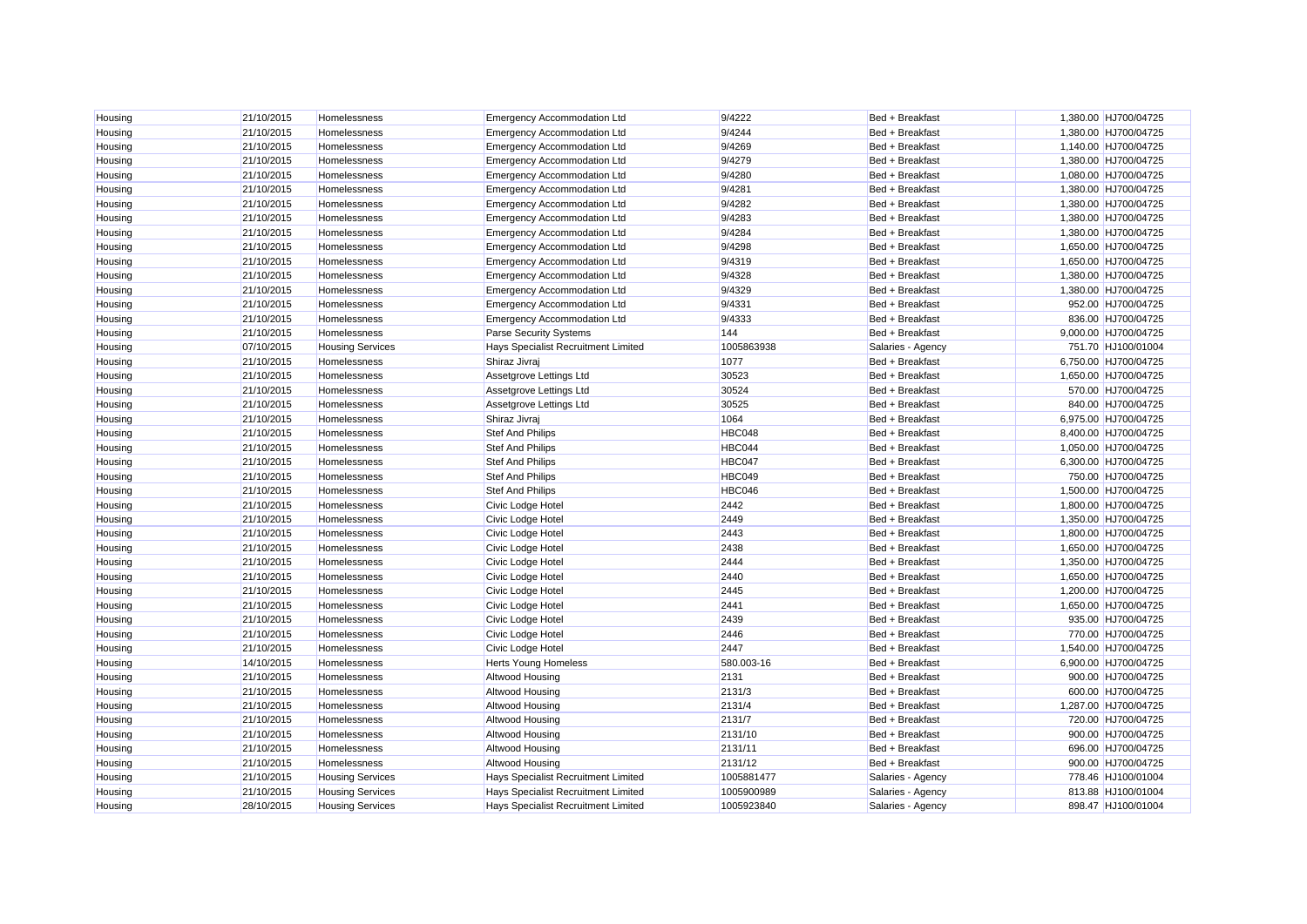| Housing | 21/10/2015 | Homelessness            | <b>Emergency Accommodation Ltd</b>  | 9/4222        | Bed + Breakfast   | 1,380.00 HJ700/04725 |
|---------|------------|-------------------------|-------------------------------------|---------------|-------------------|----------------------|
| Housing | 21/10/2015 | Homelessness            | <b>Emergency Accommodation Ltd</b>  | 9/4244        | Bed + Breakfast   | 1,380.00 HJ700/04725 |
| Housing | 21/10/2015 | Homelessness            | <b>Emergency Accommodation Ltd</b>  | 9/4269        | Bed + Breakfast   | 1,140.00 HJ700/04725 |
| Housing | 21/10/2015 | Homelessness            | <b>Emergency Accommodation Ltd</b>  | 9/4279        | Bed + Breakfast   | 1,380.00 HJ700/04725 |
| Housing | 21/10/2015 | Homelessness            | <b>Emergency Accommodation Ltd</b>  | 9/4280        | Bed + Breakfast   | 1,080.00 HJ700/04725 |
| Housing | 21/10/2015 | Homelessness            | <b>Emergency Accommodation Ltd</b>  | 9/4281        | Bed + Breakfast   | 1,380.00 HJ700/04725 |
| Housing | 21/10/2015 | <b>Homelessness</b>     | <b>Emergency Accommodation Ltd</b>  | 9/4282        | Bed + Breakfast   | 1,380.00 HJ700/04725 |
| Housing | 21/10/2015 | Homelessness            | <b>Emergency Accommodation Ltd</b>  | 9/4283        | Bed + Breakfast   | 1,380.00 HJ700/04725 |
| Housing | 21/10/2015 | Homelessness            | <b>Emergency Accommodation Ltd</b>  | 9/4284        | Bed + Breakfast   | 1,380.00 HJ700/04725 |
| Housing | 21/10/2015 | Homelessness            | <b>Emergency Accommodation Ltd</b>  | 9/4298        | Bed + Breakfast   | 1,650.00 HJ700/04725 |
| Housing | 21/10/2015 | Homelessness            | <b>Emergency Accommodation Ltd</b>  | 9/4319        | Bed + Breakfast   | 1,650.00 HJ700/04725 |
| Housing | 21/10/2015 | Homelessness            | <b>Emergency Accommodation Ltd</b>  | 9/4328        | Bed + Breakfast   | 1,380.00 HJ700/04725 |
| Housing | 21/10/2015 | Homelessness            | <b>Emergency Accommodation Ltd</b>  | 9/4329        | Bed + Breakfast   | 1,380.00 HJ700/04725 |
| Housing | 21/10/2015 | Homelessness            | <b>Emergency Accommodation Ltd</b>  | 9/4331        | Bed + Breakfast   | 952.00 HJ700/04725   |
| Housing | 21/10/2015 | Homelessness            | <b>Emergency Accommodation Ltd</b>  | 9/4333        | Bed + Breakfast   | 836.00 HJ700/04725   |
| Housing | 21/10/2015 | Homelessness            | Parse Security Systems              | 144           | Bed + Breakfast   | 9,000.00 HJ700/04725 |
| Housing | 07/10/2015 | <b>Housing Services</b> | Hays Specialist Recruitment Limited | 1005863938    | Salaries - Agency | 751.70 HJ100/01004   |
| Housing | 21/10/2015 | Homelessness            | Shiraz Jivraj                       | 1077          | Bed + Breakfast   | 6,750.00 HJ700/04725 |
| Housing | 21/10/2015 | Homelessness            | Assetgrove Lettings Ltd             | 30523         | Bed + Breakfast   | 1,650.00 HJ700/04725 |
| Housing | 21/10/2015 | Homelessness            | Assetgrove Lettings Ltd             | 30524         | Bed + Breakfast   | 570.00 HJ700/04725   |
| Housing | 21/10/2015 | Homelessness            | Assetgrove Lettings Ltd             | 30525         | Bed + Breakfast   | 840.00 HJ700/04725   |
| Housing | 21/10/2015 | Homelessness            | Shiraz Jivraj                       | 1064          | Bed + Breakfast   | 6,975.00 HJ700/04725 |
| Housing | 21/10/2015 | Homelessness            | Stef And Philips                    | <b>HBC048</b> | Bed + Breakfast   | 8,400.00 HJ700/04725 |
| Housing | 21/10/2015 | Homelessness            | <b>Stef And Philips</b>             | <b>HBC044</b> | Bed + Breakfast   | 1,050.00 HJ700/04725 |
| Housing | 21/10/2015 | Homelessness            | <b>Stef And Philips</b>             | <b>HBC047</b> | Bed + Breakfast   | 6,300.00 HJ700/04725 |
| Housing | 21/10/2015 | Homelessness            | <b>Stef And Philips</b>             | <b>HBC049</b> | Bed + Breakfast   | 750.00 HJ700/04725   |
| Housing | 21/10/2015 | Homelessness            | <b>Stef And Philips</b>             | <b>HBC046</b> | Bed + Breakfast   | 1,500.00 HJ700/04725 |
| Housing | 21/10/2015 | <b>Homelessness</b>     | Civic Lodge Hotel                   | 2442          | Bed + Breakfast   | 1.800.00 HJ700/04725 |
| Housing | 21/10/2015 | Homelessness            | Civic Lodge Hotel                   | 2449          | Bed + Breakfast   | 1,350.00 HJ700/04725 |
| Housing | 21/10/2015 | Homelessness            | Civic Lodge Hotel                   | 2443          | Bed + Breakfast   | 1,800.00 HJ700/04725 |
| Housing | 21/10/2015 | Homelessness            | Civic Lodge Hotel                   | 2438          | Bed + Breakfast   | 1,650.00 HJ700/04725 |
| Housing | 21/10/2015 | Homelessness            | Civic Lodge Hotel                   | 2444          | Bed + Breakfast   | 1,350.00 HJ700/04725 |
| Housing | 21/10/2015 | Homelessness            | Civic Lodge Hotel                   | 2440          | Bed + Breakfast   | 1,650.00 HJ700/04725 |
| Housing | 21/10/2015 | Homelessness            | Civic Lodge Hotel                   | 2445          | Bed + Breakfast   | 1,200.00 HJ700/04725 |
| Housing | 21/10/2015 | Homelessness            | Civic Lodge Hotel                   | 2441          | Bed + Breakfast   | 1,650.00 HJ700/04725 |
| Housing | 21/10/2015 | Homelessness            | Civic Lodge Hotel                   | 2439          | Bed + Breakfast   | 935.00 HJ700/04725   |
| Housing | 21/10/2015 | Homelessness            | Civic Lodge Hotel                   | 2446          | Bed + Breakfast   | 770.00 HJ700/04725   |
| Housing | 21/10/2015 | Homelessness            | Civic Lodge Hotel                   | 2447          | Bed + Breakfast   | 1,540.00 HJ700/04725 |
| Housing | 14/10/2015 | Homelessness            | <b>Herts Young Homeless</b>         | 580.003-16    | Bed + Breakfast   | 6,900.00 HJ700/04725 |
| Housing | 21/10/2015 | Homelessness            | Altwood Housing                     | 2131          | Bed + Breakfast   | 900.00 HJ700/04725   |
| Housing | 21/10/2015 | Homelessness            | Altwood Housing                     | 2131/3        | Bed + Breakfast   | 600.00 HJ700/04725   |
| Housing | 21/10/2015 | <b>Homelessness</b>     | Altwood Housing                     | 2131/4        | Bed + Breakfast   | 1,287.00 HJ700/04725 |
| Housing | 21/10/2015 | Homelessness            | Altwood Housing                     | 2131/7        | Bed + Breakfast   | 720.00 HJ700/04725   |
| Housing | 21/10/2015 | Homelessness            | Altwood Housing                     | 2131/10       | Bed + Breakfast   | 900.00 HJ700/04725   |
| Housing | 21/10/2015 | Homelessness            | Altwood Housing                     | 2131/11       | Bed + Breakfast   | 696.00 HJ700/04725   |
| Housing | 21/10/2015 | Homelessness            | Altwood Housing                     | 2131/12       | Bed + Breakfast   | 900.00 HJ700/04725   |
| Housing | 21/10/2015 | <b>Housing Services</b> | Hays Specialist Recruitment Limited | 1005881477    | Salaries - Agency | 778.46 HJ100/01004   |
| Housing | 21/10/2015 | <b>Housing Services</b> | Hays Specialist Recruitment Limited | 1005900989    | Salaries - Agency | 813.88 HJ100/01004   |
| Housing | 28/10/2015 | <b>Housing Services</b> | Hays Specialist Recruitment Limited | 1005923840    | Salaries - Agency | 898.47 HJ100/01004   |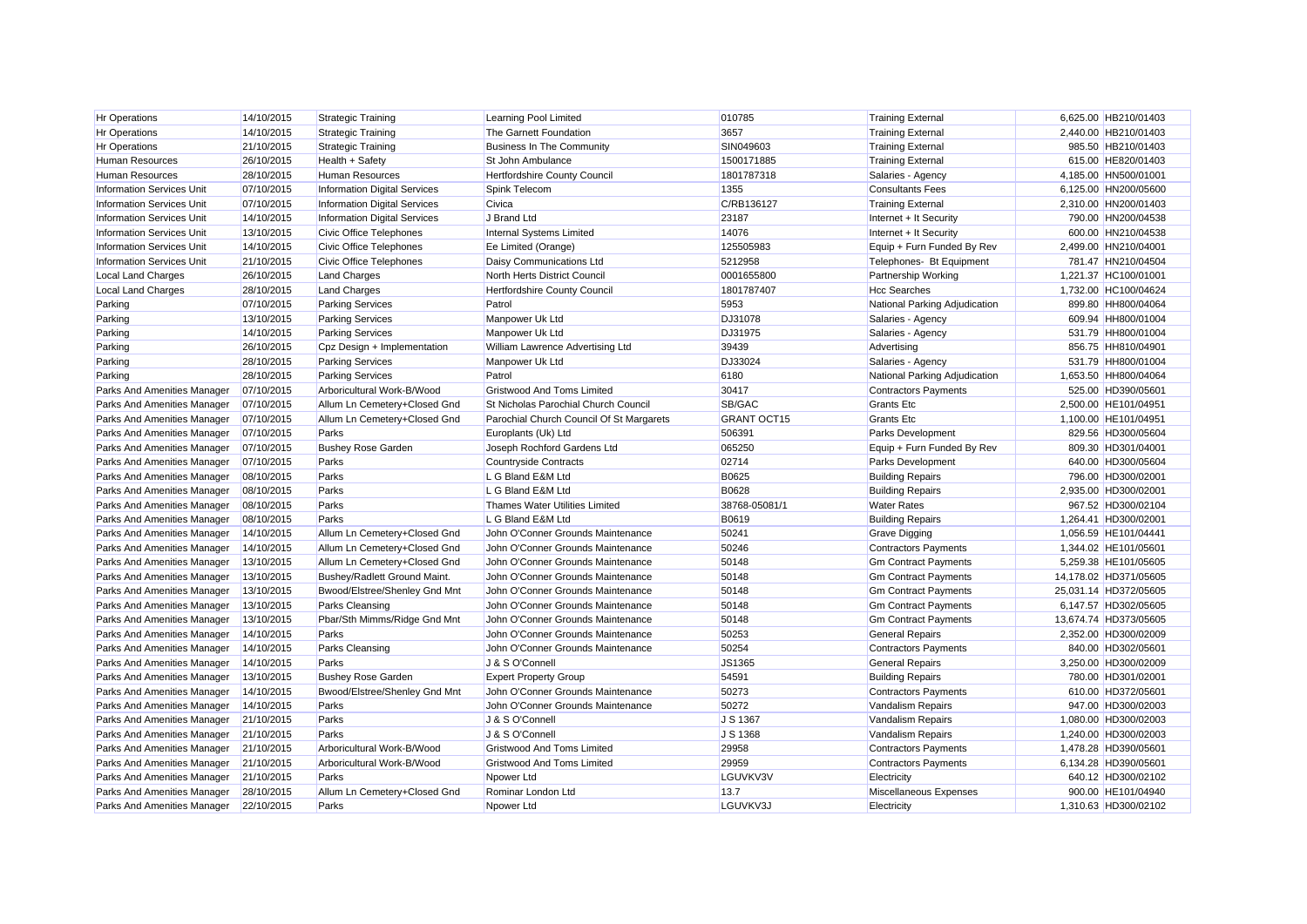| Hr Operations                    | 14/10/2015 | <b>Strategic Training</b>           | Learning Pool Limited                       | 010785             | <b>Training External</b>      | 6,625.00 HB210/01403  |
|----------------------------------|------------|-------------------------------------|---------------------------------------------|--------------------|-------------------------------|-----------------------|
| <b>Hr Operations</b>             | 14/10/2015 | <b>Strategic Training</b>           | The Garnett Foundation                      | 3657               | <b>Training External</b>      | 2,440.00 HB210/01403  |
| <b>Hr Operations</b>             | 21/10/2015 | <b>Strategic Training</b>           | <b>Business In The Community</b>            | SIN049603          | <b>Training External</b>      | 985.50 HB210/01403    |
| Human Resources                  | 26/10/2015 | Health + Safety                     | St John Ambulance                           | 1500171885         | <b>Training External</b>      | 615.00 HE820/01403    |
| <b>Human Resources</b>           | 28/10/2015 | <b>Human Resources</b>              | Hertfordshire County Council                | 1801787318         | Salaries - Agency             | 4,185.00 HN500/01001  |
| <b>Information Services Unit</b> | 07/10/2015 | <b>Information Digital Services</b> | Spink Telecom                               | 1355               | <b>Consultants Fees</b>       | 6,125.00 HN200/05600  |
| <b>Information Services Unit</b> | 07/10/2015 | Information Digital Services        | Civica                                      | C/RB136127         | <b>Training External</b>      | 2.310.00 HN200/01403  |
| <b>Information Services Unit</b> | 14/10/2015 | <b>Information Digital Services</b> | J Brand Ltd                                 | 23187              | Internet + It Security        | 790.00 HN200/04538    |
| <b>Information Services Unit</b> | 13/10/2015 | Civic Office Telephones             | Internal Systems Limited                    | 14076              | Internet + It Security        | 600.00 HN210/04538    |
| <b>Information Services Unit</b> | 14/10/2015 | <b>Civic Office Telephones</b>      | Ee Limited (Orange)                         | 125505983          | Equip + Furn Funded By Rev    | 2,499.00 HN210/04001  |
| <b>Information Services Unit</b> | 21/10/2015 | <b>Civic Office Telephones</b>      | Daisy Communications Ltd                    | 5212958            | Telephones- Bt Equipment      | 781.47 HN210/04504    |
| <b>Local Land Charges</b>        | 26/10/2015 | <b>Land Charges</b>                 | North Herts District Council                | 0001655800         | Partnership Working           | 1,221.37 HC100/01001  |
| <b>Local Land Charges</b>        | 28/10/2015 | <b>Land Charges</b>                 | Hertfordshire County Council                | 1801787407         | <b>Hcc Searches</b>           | 1,732.00 HC100/04624  |
| Parking                          | 07/10/2015 | <b>Parking Services</b>             | Patrol                                      | 5953               | National Parking Adjudication | 899.80 HH800/04064    |
| Parking                          | 13/10/2015 | <b>Parking Services</b>             | Manpower Uk Ltd                             | <b>DJ31078</b>     | Salaries - Agency             | 609.94 HH800/01004    |
| Parking                          | 14/10/2015 | <b>Parking Services</b>             | Manpower Uk Ltd                             | <b>DJ31975</b>     | Salaries - Agency             | 531.79 HH800/01004    |
| Parking                          | 26/10/2015 | Cpz Design + Implementation         | William Lawrence Advertising Ltd            | 39439              | Advertising                   | 856.75 HH810/04901    |
| Parking                          | 28/10/2015 | <b>Parking Services</b>             | Manpower Uk Ltd                             | DJ33024            | Salaries - Agency             | 531.79 HH800/01004    |
| Parking                          | 28/10/2015 | <b>Parking Services</b>             | Patrol                                      | 6180               | National Parking Adjudication | 1,653.50 HH800/04064  |
| Parks And Amenities Manager      | 07/10/2015 | Arboricultural Work-B/Wood          | <b>Gristwood And Toms Limited</b>           | 30417              | <b>Contractors Payments</b>   | 525.00 HD390/05601    |
| Parks And Amenities Manager      | 07/10/2015 | Allum Ln Cemetery+Closed Gnd        | <b>St Nicholas Parochial Church Council</b> | SB/GAC             | <b>Grants Etc.</b>            | 2.500.00 HE101/04951  |
| Parks And Amenities Manager      | 07/10/2015 | Allum Ln Cemetery+Closed Gnd        | Parochial Church Council Of St Margarets    | <b>GRANT OCT15</b> | <b>Grants Etc</b>             | 1,100.00 HE101/04951  |
| Parks And Amenities Manager      | 07/10/2015 | Parks                               | Europlants (Uk) Ltd                         | 506391             | Parks Development             | 829.56 HD300/05604    |
| Parks And Amenities Manager      | 07/10/2015 | <b>Bushey Rose Garden</b>           | Joseph Rochford Gardens Ltd                 | 065250             | Equip + Furn Funded By Rev    | 809.30 HD301/04001    |
| Parks And Amenities Manager      | 07/10/2015 | Parks                               | Countryside Contracts                       | 02714              | Parks Development             | 640.00 HD300/05604    |
| Parks And Amenities Manager      | 08/10/2015 | Parks                               | L G Bland E&M Ltd                           | <b>B0625</b>       | <b>Building Repairs</b>       | 796.00 HD300/02001    |
| Parks And Amenities Manager      | 08/10/2015 | Parks                               | L G Bland E&M Ltd                           | <b>B0628</b>       | <b>Building Repairs</b>       | 2,935.00 HD300/02001  |
| Parks And Amenities Manager      | 08/10/2015 | Parks                               | Thames Water Utilities Limited              | 38768-05081/1      | <b>Water Rates</b>            | 967.52 HD300/02104    |
| Parks And Amenities Manager      | 08/10/2015 | Parks                               | L G Bland E&M Ltd                           | B0619              | <b>Building Repairs</b>       | 1,264.41 HD300/02001  |
| Parks And Amenities Manager      | 14/10/2015 | Allum Ln Cemetery+Closed Gnd        | John O'Conner Grounds Maintenance           | 50241              | <b>Grave Digging</b>          | 1,056.59 HE101/04441  |
| Parks And Amenities Manager      | 14/10/2015 | Allum Ln Cemetery+Closed Gnd        | John O'Conner Grounds Maintenance           | 50246              | <b>Contractors Payments</b>   | 1,344.02 HE101/05601  |
| Parks And Amenities Manager      | 13/10/2015 | Allum Ln Cemetery+Closed Gnd        | John O'Conner Grounds Maintenance           | 50148              | <b>Gm Contract Payments</b>   | 5,259.38 HE101/05605  |
| Parks And Amenities Manager      | 13/10/2015 | Bushey/Radlett Ground Maint.        | John O'Conner Grounds Maintenance           | 50148              | <b>Gm Contract Payments</b>   | 14,178.02 HD371/05605 |
| Parks And Amenities Manager      | 13/10/2015 | Bwood/Elstree/Shenley Gnd Mnt       | John O'Conner Grounds Maintenance           | 50148              | <b>Gm Contract Payments</b>   | 25,031.14 HD372/05605 |
| Parks And Amenities Manager      | 13/10/2015 | Parks Cleansing                     | John O'Conner Grounds Maintenance           | 50148              | <b>Gm Contract Payments</b>   | 6,147.57 HD302/05605  |
| Parks And Amenities Manager      | 13/10/2015 | Pbar/Sth Mimms/Ridge Gnd Mnt        | John O'Conner Grounds Maintenance           | 50148              | <b>Gm Contract Payments</b>   | 13,674.74 HD373/05605 |
| Parks And Amenities Manager      | 14/10/2015 | Parks                               | John O'Conner Grounds Maintenance           | 50253              | <b>General Repairs</b>        | 2,352.00 HD300/02009  |
| Parks And Amenities Manager      | 14/10/2015 | Parks Cleansing                     | John O'Conner Grounds Maintenance           | 50254              | <b>Contractors Payments</b>   | 840.00 HD302/05601    |
| Parks And Amenities Manager      | 14/10/2015 | Parks                               | J & S O'Connell                             | JS1365             | <b>General Repairs</b>        | 3,250.00 HD300/02009  |
| Parks And Amenities Manager      | 13/10/2015 | <b>Bushey Rose Garden</b>           | <b>Expert Property Group</b>                | 54591              | <b>Building Repairs</b>       | 780.00 HD301/02001    |
| Parks And Amenities Manager      | 14/10/2015 | Bwood/Elstree/Shenley Gnd Mnt       | John O'Conner Grounds Maintenance           | 50273              | <b>Contractors Payments</b>   | 610.00 HD372/05601    |
| Parks And Amenities Manager      | 14/10/2015 | Parks                               | John O'Conner Grounds Maintenance           | 50272              | <b>Vandalism Repairs</b>      | 947.00 HD300/02003    |
| Parks And Amenities Manager      | 21/10/2015 | Parks                               | J & S O'Connell                             | J S 1367           | Vandalism Repairs             | 1,080.00 HD300/02003  |
| Parks And Amenities Manager      | 21/10/2015 | Parks                               | J & S O'Connell                             | J S 1368           | Vandalism Repairs             | 1,240.00 HD300/02003  |
| Parks And Amenities Manager      | 21/10/2015 | Arboricultural Work-B/Wood          | <b>Gristwood And Toms Limited</b>           | 29958              | <b>Contractors Payments</b>   | 1,478.28 HD390/05601  |
| Parks And Amenities Manager      | 21/10/2015 | Arboricultural Work-B/Wood          | <b>Gristwood And Toms Limited</b>           | 29959              | <b>Contractors Payments</b>   | 6,134.28 HD390/05601  |
| Parks And Amenities Manager      | 21/10/2015 | Parks                               | Npower Ltd                                  | LGUVKV3V           | Electricity                   | 640.12 HD300/02102    |
| Parks And Amenities Manager      | 28/10/2015 | Allum Ln Cemetery+Closed Gnd        | Rominar London Ltd                          | 13.7               | Miscellaneous Expenses        | 900.00 HE101/04940    |
| Parks And Amenities Manager      | 22/10/2015 | Parks                               | Noower Ltd                                  | LGUVKV3J           | Electricity                   | 1.310.63 HD300/02102  |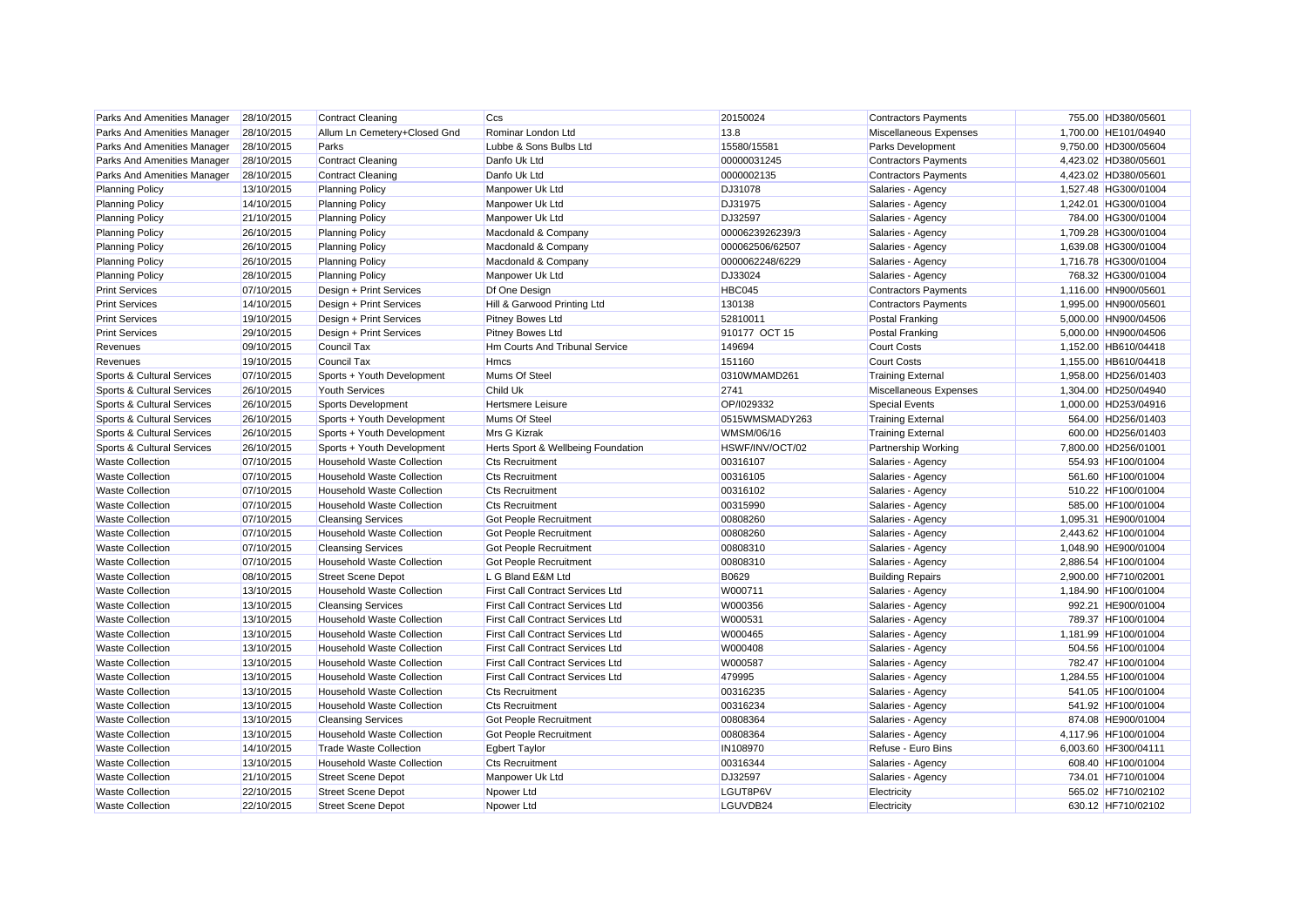| Parks And Amenities Manager | 28/10/2015 | <b>Contract Cleaning</b>          | Ccs                                     | 20150024          | <b>Contractors Payments</b> | 755.00 HD380/05601   |
|-----------------------------|------------|-----------------------------------|-----------------------------------------|-------------------|-----------------------------|----------------------|
| Parks And Amenities Manager | 28/10/2015 | Allum Ln Cemetery+Closed Gnd      | Rominar London Ltd                      | 13.8              | Miscellaneous Expenses      | 1,700.00 HE101/04940 |
| Parks And Amenities Manager | 28/10/2015 | Parks                             | Lubbe & Sons Bulbs Ltd                  | 15580/15581       | <b>Parks Development</b>    | 9,750.00 HD300/05604 |
| Parks And Amenities Manager | 28/10/2015 | <b>Contract Cleaning</b>          | Danfo Uk Ltd                            | 00000031245       | <b>Contractors Payments</b> | 4,423.02 HD380/05601 |
| Parks And Amenities Manager | 28/10/2015 | <b>Contract Cleaning</b>          | Danfo Uk Ltd                            | 0000002135        | <b>Contractors Payments</b> | 4,423.02 HD380/05601 |
| <b>Planning Policy</b>      | 13/10/2015 | <b>Planning Policy</b>            | Manpower Uk Ltd                         | <b>DJ31078</b>    | Salaries - Agency           | 1,527.48 HG300/01004 |
| <b>Planning Policy</b>      | 14/10/2015 | <b>Planning Policy</b>            | Manpower Uk Ltd                         | DJ31975           | Salaries - Agency           | 1,242.01 HG300/01004 |
| <b>Planning Policy</b>      | 21/10/2015 | <b>Planning Policy</b>            | Manpower Uk Ltd                         | DJ32597           | Salaries - Agency           | 784.00 HG300/01004   |
| <b>Planning Policy</b>      | 26/10/2015 | <b>Planning Policy</b>            | Macdonald & Company                     | 0000623926239/3   | Salaries - Agency           | 1,709.28 HG300/01004 |
| <b>Planning Policy</b>      | 26/10/2015 | <b>Planning Policy</b>            | Macdonald & Company                     | 000062506/62507   | Salaries - Agency           | 1,639.08 HG300/01004 |
| <b>Planning Policy</b>      | 26/10/2015 | <b>Planning Policy</b>            | Macdonald & Company                     | 0000062248/6229   | Salaries - Agency           | 1,716.78 HG300/01004 |
| <b>Planning Policy</b>      | 28/10/2015 | <b>Planning Policy</b>            | Manpower Uk Ltd                         | DJ33024           | Salaries - Agency           | 768.32 HG300/01004   |
| <b>Print Services</b>       | 07/10/2015 | Design + Print Services           | Df One Design                           | <b>HBC045</b>     | <b>Contractors Payments</b> | 1,116.00 HN900/05601 |
| <b>Print Services</b>       | 14/10/2015 | Design + Print Services           | Hill & Garwood Printing Ltd             | 130138            | <b>Contractors Payments</b> | 1,995.00 HN900/05601 |
| <b>Print Services</b>       | 19/10/2015 | Design + Print Services           | <b>Pitney Bowes Ltd</b>                 | 52810011          | Postal Franking             | 5,000.00 HN900/04506 |
| <b>Print Services</b>       | 29/10/2015 | Design + Print Services           | Pitney Bowes Ltd                        | 910177 OCT 15     | Postal Franking             | 5.000.00 HN900/04506 |
| Revenues                    | 09/10/2015 | Council Tax                       | <b>Hm Courts And Tribunal Service</b>   | 149694            | <b>Court Costs</b>          | 1,152.00 HB610/04418 |
| Revenues                    | 19/10/2015 | Council Tax                       | <b>Hmcs</b>                             | 151160            | <b>Court Costs</b>          | 1,155.00 HB610/04418 |
| Sports & Cultural Services  | 07/10/2015 | Sports + Youth Development        | Mums Of Steel                           | 0310WMAMD261      | <b>Training External</b>    | 1,958.00 HD256/01403 |
| Sports & Cultural Services  | 26/10/2015 | <b>Youth Services</b>             | <b>Child Uk</b>                         | 2741              | Miscellaneous Expenses      | 1,304.00 HD250/04940 |
| Sports & Cultural Services  | 26/10/2015 | Sports Development                | <b>Hertsmere Leisure</b>                | OP/I029332        | <b>Special Events</b>       | 1,000.00 HD253/04916 |
| Sports & Cultural Services  | 26/10/2015 | Sports + Youth Development        | Mums Of Steel                           | 0515WMSMADY263    | <b>Training External</b>    | 564.00 HD256/01403   |
| Sports & Cultural Services  | 26/10/2015 | Sports + Youth Development        | Mrs G Kizrak                            | <b>WMSM/06/16</b> | <b>Training External</b>    | 600.00 HD256/01403   |
| Sports & Cultural Services  | 26/10/2015 | Sports + Youth Development        | Herts Sport & Wellbeing Foundation      | HSWF/INV/OCT/02   | Partnership Working         | 7,800.00 HD256/01001 |
| <b>Waste Collection</b>     | 07/10/2015 | <b>Household Waste Collection</b> | <b>Cts Recruitment</b>                  | 00316107          | Salaries - Agency           | 554.93 HF100/01004   |
| <b>Waste Collection</b>     | 07/10/2015 | <b>Household Waste Collection</b> | <b>Cts Recruitment</b>                  | 00316105          | Salaries - Agency           | 561.60 HF100/01004   |
| <b>Waste Collection</b>     | 07/10/2015 | <b>Household Waste Collection</b> | <b>Cts Recruitment</b>                  | 00316102          | Salaries - Agency           | 510.22 HF100/01004   |
| <b>Waste Collection</b>     | 07/10/2015 | <b>Household Waste Collection</b> | <b>Cts Recruitment</b>                  | 00315990          | Salaries - Agency           | 585.00 HF100/01004   |
| <b>Waste Collection</b>     | 07/10/2015 | <b>Cleansing Services</b>         | <b>Got People Recruitment</b>           | 00808260          | Salaries - Agency           | 1,095.31 HE900/01004 |
| <b>Waste Collection</b>     | 07/10/2015 | <b>Household Waste Collection</b> | Got People Recruitment                  | 00808260          | Salaries - Agency           | 2,443.62 HF100/01004 |
| <b>Waste Collection</b>     | 07/10/2015 | <b>Cleansing Services</b>         | Got People Recruitment                  | 00808310          | Salaries - Agency           | 1,048.90 HE900/01004 |
| <b>Waste Collection</b>     | 07/10/2015 | <b>Household Waste Collection</b> | Got People Recruitment                  | 00808310          | Salaries - Agency           | 2,886.54 HF100/01004 |
| <b>Waste Collection</b>     | 08/10/2015 | <b>Street Scene Depot</b>         | L G Bland E&M Ltd                       | B0629             | <b>Building Repairs</b>     | 2,900.00 HF710/02001 |
| <b>Waste Collection</b>     | 13/10/2015 | <b>Household Waste Collection</b> | <b>First Call Contract Services Ltd</b> | W000711           | Salaries - Agency           | 1,184.90 HF100/01004 |
| <b>Waste Collection</b>     | 13/10/2015 | <b>Cleansing Services</b>         | <b>First Call Contract Services Ltd</b> | W000356           | Salaries - Agency           | 992.21 HE900/01004   |
| <b>Waste Collection</b>     | 13/10/2015 | <b>Household Waste Collection</b> | <b>First Call Contract Services Ltd</b> | W000531           | Salaries - Agency           | 789.37 HF100/01004   |
| <b>Waste Collection</b>     | 13/10/2015 | <b>Household Waste Collection</b> | <b>First Call Contract Services Ltd</b> | W000465           | Salaries - Agency           | 1,181.99 HF100/01004 |
| <b>Waste Collection</b>     | 13/10/2015 | <b>Household Waste Collection</b> | First Call Contract Services Ltd        | W000408           | Salaries - Agency           | 504.56 HF100/01004   |
| <b>Waste Collection</b>     | 13/10/2015 | <b>Household Waste Collection</b> | <b>First Call Contract Services Ltd</b> | W000587           |                             | 782.47 HF100/01004   |
| <b>Waste Collection</b>     | 13/10/2015 | <b>Household Waste Collection</b> | <b>First Call Contract Services Ltd</b> | 479995            | Salaries - Agency           | 1,284.55 HF100/01004 |
| <b>Waste Collection</b>     | 13/10/2015 | <b>Household Waste Collection</b> |                                         |                   | Salaries - Agency           |                      |
|                             |            |                                   | <b>Cts Recruitment</b>                  | 00316235          | Salaries - Agency           | 541.05 HF100/01004   |
| <b>Waste Collection</b>     | 13/10/2015 | <b>Household Waste Collection</b> | <b>Cts Recruitment</b>                  | 00316234          | Salaries - Agency           | 541.92 HF100/01004   |
| <b>Waste Collection</b>     | 13/10/2015 | <b>Cleansing Services</b>         | Got People Recruitment                  | 00808364          | Salaries - Agency           | 874.08 HE900/01004   |
| <b>Waste Collection</b>     | 13/10/2015 | <b>Household Waste Collection</b> | Got People Recruitment                  | 00808364          | Salaries - Agency           | 4,117.96 HF100/01004 |
| <b>Waste Collection</b>     | 14/10/2015 | Trade Waste Collection            | <b>Egbert Taylor</b>                    | IN108970          | Refuse - Euro Bins          | 6,003.60 HF300/04111 |
| <b>Waste Collection</b>     | 13/10/2015 | <b>Household Waste Collection</b> | <b>Cts Recruitment</b>                  | 00316344          | Salaries - Agency           | 608.40 HF100/01004   |
| <b>Waste Collection</b>     | 21/10/2015 | <b>Street Scene Depot</b>         | Manpower Uk Ltd                         | DJ32597           | Salaries - Agency           | 734.01 HF710/01004   |
| <b>Waste Collection</b>     | 22/10/2015 | <b>Street Scene Depot</b>         | Npower Ltd                              | LGUT8P6V          | Electricity                 | 565.02 HF710/02102   |
| <b>Waste Collection</b>     | 22/10/2015 | <b>Street Scene Depot</b>         | Npower Ltd                              | LGUVDB24          | Electricity                 | 630.12 HF710/02102   |